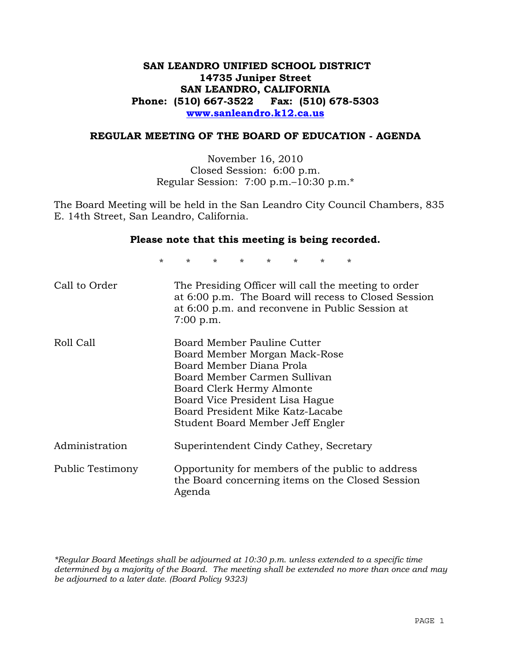## **SAN LEANDRO UNIFIED SCHOOL DISTRICT 14735 Juniper Street SAN LEANDRO, CALIFORNIA Phone: (510) 667-3522 Fax: (510) 678-5303 www.sanleandro.k12.ca.us**

### **REGULAR MEETING OF THE BOARD OF EDUCATION - AGENDA**

November 16, 2010 Closed Session: 6:00 p.m. Regular Session: 7:00 p.m.–10:30 p.m.\*

The Board Meeting will be held in the San Leandro City Council Chambers, 835 E. 14th Street, San Leandro, California.

#### **Please note that this meeting is being recorded.**

\* \* \* \* \* \* \* \*

| Call to Order    | The Presiding Officer will call the meeting to order<br>at 6:00 p.m. The Board will recess to Closed Session<br>at 6:00 p.m. and reconvene in Public Session at<br>$7:00$ p.m.                                                                                   |
|------------------|------------------------------------------------------------------------------------------------------------------------------------------------------------------------------------------------------------------------------------------------------------------|
| Roll Call        | Board Member Pauline Cutter<br>Board Member Morgan Mack-Rose<br>Board Member Diana Prola<br>Board Member Carmen Sullivan<br>Board Clerk Hermy Almonte<br>Board Vice President Lisa Hague<br>Board President Mike Katz-Lacabe<br>Student Board Member Jeff Engler |
| Administration   | Superintendent Cindy Cathey, Secretary                                                                                                                                                                                                                           |
| Public Testimony | Opportunity for members of the public to address<br>the Board concerning items on the Closed Session<br>Agenda                                                                                                                                                   |

*\*Regular Board Meetings shall be adjourned at 10:30 p.m. unless extended to a specific time determined by a majority of the Board. The meeting shall be extended no more than once and may be adjourned to a later date. (Board Policy 9323)*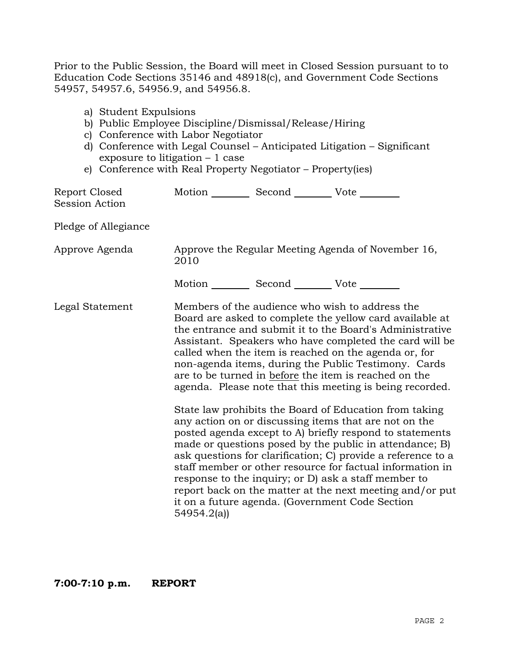Prior to the Public Session, the Board will meet in Closed Session pursuant to to Education Code Sections 35146 and 48918(c), and Government Code Sections 54957, 54957.6, 54956.9, and 54956.8.

- a) Student Expulsions
- b) Public Employee Discipline/Dismissal/Release/Hiring
- c) Conference with Labor Negotiator
- d) Conference with Legal Counsel Anticipated Litigation Significant exposure to litigation – 1 case
- e) Conference with Real Property Negotiator Property(ies)

| Report Closed<br>Session Action | Motion Second Vote                                                                                                                                                                                                                                                                                                                                                                                                                                                                                                                                                                                                                                                                                                                                                                                                                                                                                                                                                                                                                   |
|---------------------------------|--------------------------------------------------------------------------------------------------------------------------------------------------------------------------------------------------------------------------------------------------------------------------------------------------------------------------------------------------------------------------------------------------------------------------------------------------------------------------------------------------------------------------------------------------------------------------------------------------------------------------------------------------------------------------------------------------------------------------------------------------------------------------------------------------------------------------------------------------------------------------------------------------------------------------------------------------------------------------------------------------------------------------------------|
| Pledge of Allegiance            |                                                                                                                                                                                                                                                                                                                                                                                                                                                                                                                                                                                                                                                                                                                                                                                                                                                                                                                                                                                                                                      |
| Approve Agenda                  | Approve the Regular Meeting Agenda of November 16,<br>2010                                                                                                                                                                                                                                                                                                                                                                                                                                                                                                                                                                                                                                                                                                                                                                                                                                                                                                                                                                           |
|                                 | Motion __________ Second __________ Vote ________                                                                                                                                                                                                                                                                                                                                                                                                                                                                                                                                                                                                                                                                                                                                                                                                                                                                                                                                                                                    |
| Legal Statement                 | Members of the audience who wish to address the<br>Board are asked to complete the yellow card available at<br>the entrance and submit it to the Board's Administrative<br>Assistant. Speakers who have completed the card will be<br>called when the item is reached on the agenda or, for<br>non-agenda items, during the Public Testimony. Cards<br>are to be turned in before the item is reached on the<br>agenda. Please note that this meeting is being recorded.<br>State law prohibits the Board of Education from taking<br>any action on or discussing items that are not on the<br>posted agenda except to A) briefly respond to statements<br>made or questions posed by the public in attendance; B)<br>ask questions for clarification; C) provide a reference to a<br>staff member or other resource for factual information in<br>response to the inquiry; or D) ask a staff member to<br>report back on the matter at the next meeting and/or put<br>it on a future agenda. (Government Code Section<br>54954.2(a) |
|                                 |                                                                                                                                                                                                                                                                                                                                                                                                                                                                                                                                                                                                                                                                                                                                                                                                                                                                                                                                                                                                                                      |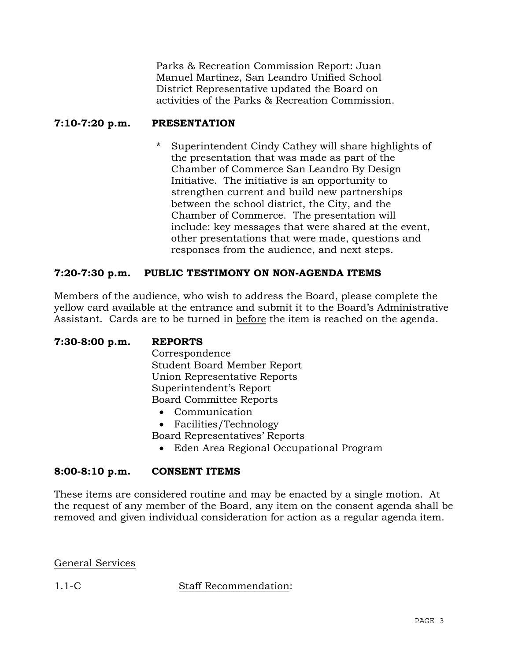Parks & Recreation Commission Report: Juan Manuel Martinez, San Leandro Unified School District Representative updated the Board on activities of the Parks & Recreation Commission.

## **7:10-7:20 p.m. PRESENTATION**

Superintendent Cindy Cathey will share highlights of the presentation that was made as part of the Chamber of Commerce San Leandro By Design Initiative. The initiative is an opportunity to strengthen current and build new partnerships between the school district, the City, and the Chamber of Commerce. The presentation will include: key messages that were shared at the event, other presentations that were made, questions and responses from the audience, and next steps.

## **7:20-7:30 p.m. PUBLIC TESTIMONY ON NON-AGENDA ITEMS**

Members of the audience, who wish to address the Board, please complete the yellow card available at the entrance and submit it to the Board's Administrative Assistant. Cards are to be turned in before the item is reached on the agenda.

| Correspondence                          |  |  |  |
|-----------------------------------------|--|--|--|
|                                         |  |  |  |
| <b>Student Board Member Report</b>      |  |  |  |
| Union Representative Reports            |  |  |  |
| Superintendent's Report                 |  |  |  |
| <b>Board Committee Reports</b>          |  |  |  |
| Communication                           |  |  |  |
| • Facilities/Technology                 |  |  |  |
| Board Representatives' Reports          |  |  |  |
| Eden Area Regional Occupational Program |  |  |  |

## **8:00-8:10 p.m. CONSENT ITEMS**

These items are considered routine and may be enacted by a single motion. At the request of any member of the Board, any item on the consent agenda shall be removed and given individual consideration for action as a regular agenda item.

General Services

1.1-C Staff Recommendation: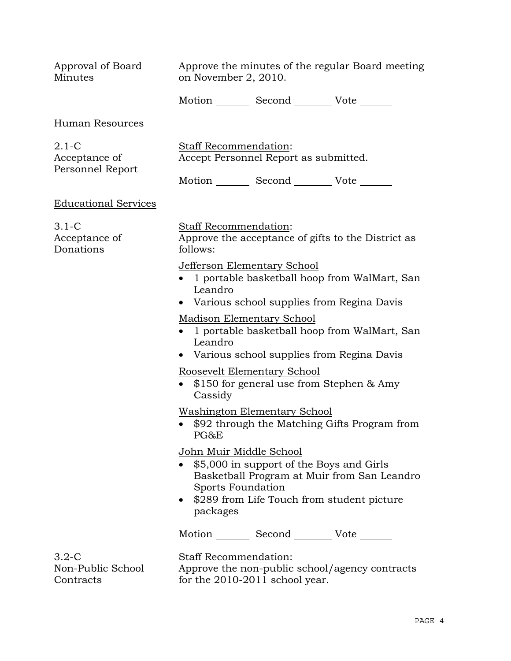| Approval of Board<br>Minutes                 | Approve the minutes of the regular Board meeting<br>on November 2, 2010.                                                                                                                                        |
|----------------------------------------------|-----------------------------------------------------------------------------------------------------------------------------------------------------------------------------------------------------------------|
|                                              | Motion _________ Second __________ Vote _______                                                                                                                                                                 |
| Human Resources                              |                                                                                                                                                                                                                 |
| $2.1-C$<br>Acceptance of<br>Personnel Report | Staff Recommendation:<br>Accept Personnel Report as submitted.                                                                                                                                                  |
|                                              | Motion _________ Second __________ Vote _______                                                                                                                                                                 |
| <b>Educational Services</b>                  |                                                                                                                                                                                                                 |
| $3.1-C$<br>Acceptance of<br>Donations        | Staff Recommendation:<br>Approve the acceptance of gifts to the District as<br>follows:                                                                                                                         |
|                                              | Jefferson Elementary School<br>1 portable basketball hoop from WalMart, San<br>Leandro<br>Various school supplies from Regina Davis                                                                             |
|                                              | <b>Madison Elementary School</b><br>1 portable basketball hoop from WalMart, San<br>Leandro<br>Various school supplies from Regina Davis<br>$\bullet$                                                           |
|                                              | Roosevelt Elementary School<br>\$150 for general use from Stephen & Amy<br>Cassidy                                                                                                                              |
|                                              | <b>Washington Elementary School</b><br>\$92 through the Matching Gifts Program from<br>PG&E                                                                                                                     |
|                                              | <u>John Muir Middle School</u><br>\$5,000 in support of the Boys and Girls<br>Basketball Program at Muir from San Leandro<br><b>Sports Foundation</b><br>\$289 from Life Touch from student picture<br>packages |
|                                              | Motion _________ Second __________ Vote _______                                                                                                                                                                 |
| $3.2 - C$<br>Non-Public School<br>Contracts  | <b>Staff Recommendation:</b><br>Approve the non-public school/agency contracts<br>for the 2010-2011 school year.                                                                                                |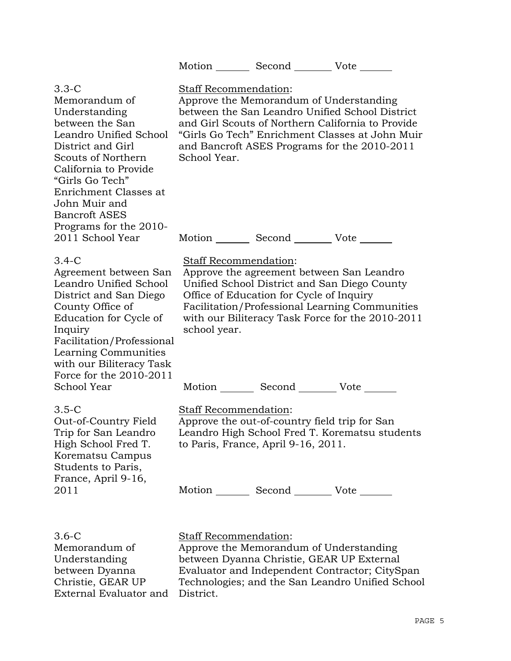|                                                                                                                                                                                                                                                                             | Motion _________ Second __________ Vote _______                                                                                                                                                                                                                                                                                         |
|-----------------------------------------------------------------------------------------------------------------------------------------------------------------------------------------------------------------------------------------------------------------------------|-----------------------------------------------------------------------------------------------------------------------------------------------------------------------------------------------------------------------------------------------------------------------------------------------------------------------------------------|
| $3.3 - C$<br>Memorandum of<br>Understanding<br>between the San<br>Leandro Unified School<br>District and Girl<br>Scouts of Northern<br>California to Provide<br>"Girls Go Tech"<br>Enrichment Classes at<br>John Muir and<br><b>Bancroft ASES</b><br>Programs for the 2010- | Staff Recommendation:<br>Approve the Memorandum of Understanding<br>between the San Leandro Unified School District<br>and Girl Scouts of Northern California to Provide<br>"Girls Go Tech" Enrichment Classes at John Muir<br>and Bancroft ASES Programs for the 2010-2011<br>School Year.                                             |
| 2011 School Year                                                                                                                                                                                                                                                            | Motion _________ Second ___________ Vote _______                                                                                                                                                                                                                                                                                        |
| $3.4-C$<br>Agreement between San<br>Leandro Unified School<br>District and San Diego<br>County Office of<br>Education for Cycle of<br>Inquiry<br>Facilitation/Professional<br>Learning Communities<br>with our Biliteracy Task<br>Force for the 2010-2011<br>School Year    | Staff Recommendation:<br>Approve the agreement between San Leandro<br>Unified School District and San Diego County<br>Office of Education for Cycle of Inquiry<br>Facilitation/Professional Learning Communities<br>with our Biliteracy Task Force for the 2010-2011<br>school year.<br>Motion _________ Second __________ Vote _______ |
| $3.5 - C$<br>Out-of-Country Field<br>Trip for San Leandro<br>High School Fred T.<br>Korematsu Campus<br>Students to Paris,<br>France, April 9-16,                                                                                                                           | <b>Staff Recommendation:</b><br>Approve the out-of-country field trip for San<br>Leandro High School Fred T. Korematsu students<br>to Paris, France, April 9-16, 2011.                                                                                                                                                                  |
| 2011                                                                                                                                                                                                                                                                        | Motion _________ Second __________ Vote _______                                                                                                                                                                                                                                                                                         |
| 3.6-C                                                                                                                                                                                                                                                                       | <b>Staff Recommendation:</b>                                                                                                                                                                                                                                                                                                            |

Memorandum of Understanding between Dyanna Christie, GEAR UP External Evaluator and District.

Approve the Memorandum of Understanding between Dyanna Christie, GEAR UP External Evaluator and Independent Contractor; CitySpan Technologies; and the San Leandro Unified School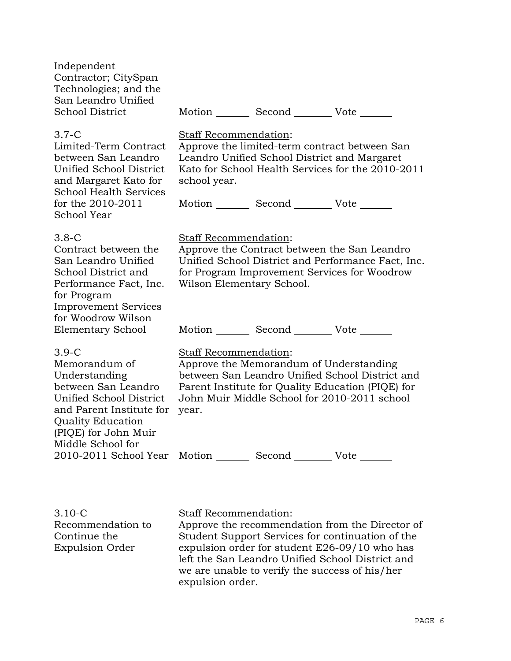| Independent<br>Contractor; CitySpan<br>Technologies; and the<br>San Leandro Unified<br><b>School District</b>                                                                                                       |                                                    | Motion _________ Second __________ Vote _______                                                 |                                                                                                                                                      |
|---------------------------------------------------------------------------------------------------------------------------------------------------------------------------------------------------------------------|----------------------------------------------------|-------------------------------------------------------------------------------------------------|------------------------------------------------------------------------------------------------------------------------------------------------------|
| 3.7-C<br>Limited-Term Contract<br>between San Leandro<br><b>Unified School District</b><br>and Margaret Kato for<br><b>School Health Services</b><br>for the 2010-2011<br><b>School Year</b>                        | Staff Recommendation:<br>school year.              | Leandro Unified School District and Margaret<br>Motion _________ Second __________ Vote _______ | Approve the limited-term contract between San<br>Kato for School Health Services for the 2010-2011                                                   |
| $3.8-C$<br>Contract between the<br>San Leandro Unified<br>School District and<br>Performance Fact, Inc.<br>for Program<br><b>Improvement Services</b><br>for Woodrow Wilson                                         | Staff Recommendation:<br>Wilson Elementary School. |                                                                                                 | Approve the Contract between the San Leandro<br>Unified School District and Performance Fact, Inc.<br>for Program Improvement Services for Woodrow   |
| Elementary School<br>3.9-C<br>Memorandum of<br>Understanding<br>between San Leandro<br><b>Unified School District</b><br>and Parent Institute for<br>Quality Education<br>(PIQE) for John Muir<br>Middle School for | <b>Staff Recommendation:</b><br>year.              | Motion Second Vote<br>Approve the Memorandum of Understanding                                   | between San Leandro Unified School District and<br>Parent Institute for Quality Education (PIQE) for<br>John Muir Middle School for 2010-2011 school |
| 2010-2011 School Year Motion ________ Second ________ Vote ______                                                                                                                                                   |                                                    |                                                                                                 |                                                                                                                                                      |

3.10-C Recommendation to Continue the Expulsion Order

# Staff Recommendation:

Approve the recommendation from the Director of Student Support Services for continuation of the expulsion order for student E26-09/10 who has left the San Leandro Unified School District and we are unable to verify the success of his/her expulsion order.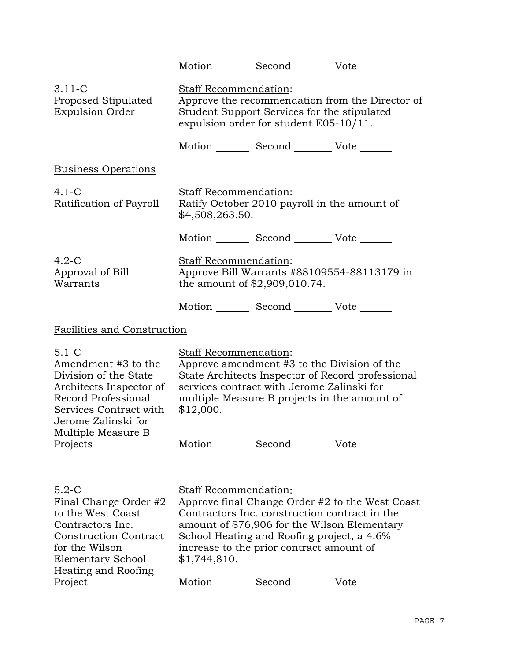|                                                                                                                                                                                    |                                                                                                                                                                   | Motion Second Vote                                                                                           |                                                                                                                                                  |
|------------------------------------------------------------------------------------------------------------------------------------------------------------------------------------|-------------------------------------------------------------------------------------------------------------------------------------------------------------------|--------------------------------------------------------------------------------------------------------------|--------------------------------------------------------------------------------------------------------------------------------------------------|
| $3.11 - C$<br>Proposed Stipulated<br><b>Expulsion Order</b>                                                                                                                        | Staff Recommendation:<br>Approve the recommendation from the Director of<br>Student Support Services for the stipulated<br>expulsion order for student E05-10/11. |                                                                                                              |                                                                                                                                                  |
|                                                                                                                                                                                    |                                                                                                                                                                   | Motion _________ Second __________ Vote _______                                                              |                                                                                                                                                  |
| <b>Business Operations</b>                                                                                                                                                         |                                                                                                                                                                   |                                                                                                              |                                                                                                                                                  |
| $4.1 - C$<br>Ratification of Payroll                                                                                                                                               | Staff Recommendation:<br>\$4,508,263.50.                                                                                                                          |                                                                                                              | Ratify October 2010 payroll in the amount of                                                                                                     |
|                                                                                                                                                                                    |                                                                                                                                                                   | Motion _________ Second __________ Vote _______                                                              |                                                                                                                                                  |
| $4.2-C$<br>Approval of Bill<br>Warrants                                                                                                                                            | Staff Recommendation:                                                                                                                                             | the amount of \$2,909,010.74.                                                                                | Approve Bill Warrants #88109554-88113179 in                                                                                                      |
|                                                                                                                                                                                    |                                                                                                                                                                   | Motion _________ Second __________ Vote _______                                                              |                                                                                                                                                  |
| Facilities and Construction                                                                                                                                                        |                                                                                                                                                                   |                                                                                                              |                                                                                                                                                  |
| $5.1 - C$<br>Amendment #3 to the<br>Division of the State<br>Architects Inspector of<br>Record Professional<br>Services Contract with<br>Jerome Zalinski for<br>Multiple Measure B | Staff Recommendation:<br>\$12,000.                                                                                                                                | services contract with Jerome Zalinski for                                                                   | Approve amendment #3 to the Division of the<br>State Architects Inspector of Record professional<br>multiple Measure B projects in the amount of |
| Projects                                                                                                                                                                           |                                                                                                                                                                   | Motion Second Vote                                                                                           |                                                                                                                                                  |
|                                                                                                                                                                                    |                                                                                                                                                                   |                                                                                                              |                                                                                                                                                  |
| $5.2-C$<br>Final Change Order #2<br>to the West Coast<br>Contractors Inc.<br><b>Construction Contract</b><br>for the Wilson<br>Elementary School<br>Heating and Roofing<br>Project | Staff Recommendation:<br>\$1,744,810.                                                                                                                             | School Heating and Roofing project, a 4.6%<br>increase to the prior contract amount of<br>Motion Second Vote | Approve final Change Order #2 to the West Coast<br>Contractors Inc. construction contract in the<br>amount of \$76,906 for the Wilson Elementary |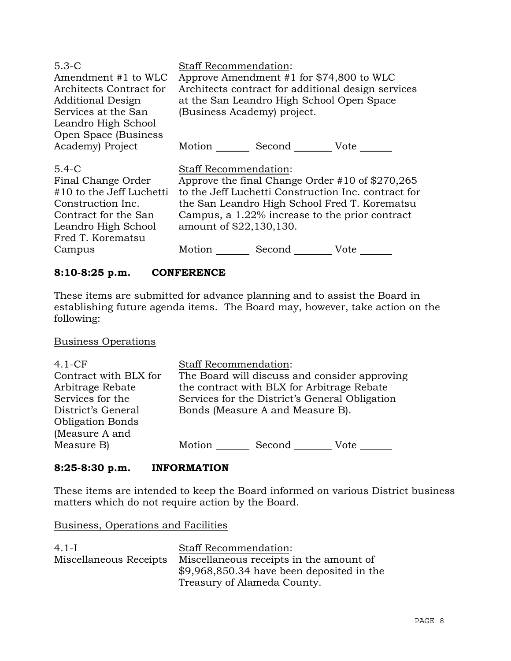| $5.3-C$<br>Amendment #1 to WLC<br>Architects Contract for<br><b>Additional Design</b><br>Services at the San<br>Leandro High School<br>Open Space (Business    | <b>Staff Recommendation:</b><br>Approve Amendment #1 for $$74,800$ to WLC<br>Architects contract for additional design services<br>at the San Leandro High School Open Space<br>(Business Academy) project.                                                                                   |
|----------------------------------------------------------------------------------------------------------------------------------------------------------------|-----------------------------------------------------------------------------------------------------------------------------------------------------------------------------------------------------------------------------------------------------------------------------------------------|
| Academy) Project                                                                                                                                               | Motion Second Vote                                                                                                                                                                                                                                                                            |
| $5.4 - C$<br>Final Change Order<br>#10 to the Jeff Luchetti<br>Construction Inc.<br>Contract for the San<br>Leandro High School<br>Fred T. Korematsu<br>Campus | Staff Recommendation:<br>Approve the final Change Order #10 of \$270,265<br>to the Jeff Luchetti Construction Inc. contract for<br>the San Leandro High School Fred T. Korematsu<br>Campus, a 1.22% increase to the prior contract<br>amount of \$22,130,130.<br>Second Vote<br>Motion $\_\_$ |
|                                                                                                                                                                |                                                                                                                                                                                                                                                                                               |

## **8:10-8:25 p.m. CONFERENCE**

These items are submitted for advance planning and to assist the Board in establishing future agenda items. The Board may, however, take action on the following:

## Business Operations

| $4.1-CF$<br>Contract with BLX for | <b>Staff Recommendation:</b> | The Board will discuss and consider approving  |      |
|-----------------------------------|------------------------------|------------------------------------------------|------|
| Arbitrage Rebate                  |                              | the contract with BLX for Arbitrage Rebate     |      |
| Services for the                  |                              | Services for the District's General Obligation |      |
| District's General                |                              | Bonds (Measure A and Measure B).               |      |
| <b>Obligation Bonds</b>           |                              |                                                |      |
| (Measure A and                    |                              |                                                |      |
| Measure B)                        | Motion                       | Second                                         | Vote |

## **8:25-8:30 p.m. INFORMATION**

These items are intended to keep the Board informed on various District business matters which do not require action by the Board.

### Business, Operations and Facilities

| $4.1-I$                | <b>Staff Recommendation:</b>               |
|------------------------|--------------------------------------------|
| Miscellaneous Receipts | Miscellaneous receipts in the amount of    |
|                        | $$9,968,850.34$ have been deposited in the |
|                        | Treasury of Alameda County.                |